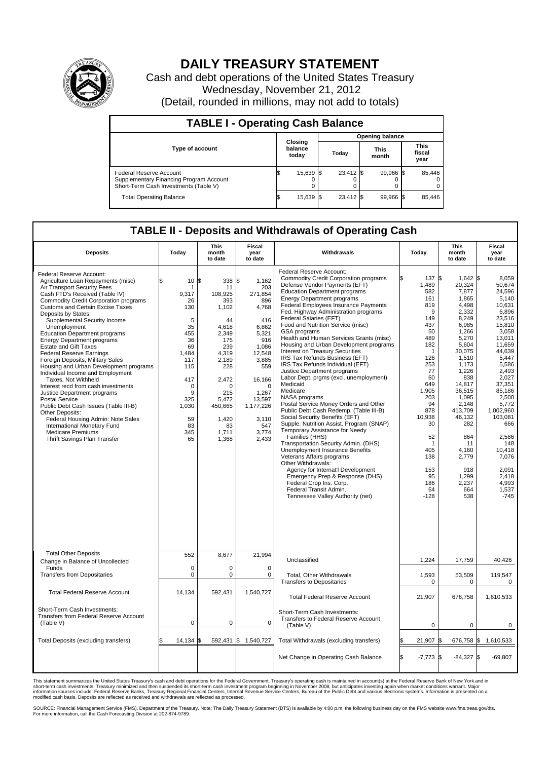

## **DAILY TREASURY STATEMENT**

Cash and debt operations of the United States Treasury Wednesday, November 21, 2012 (Detail, rounded in millions, may not add to totals)

| <b>TABLE I - Operating Cash Balance</b>                                                                     |                             |           |       |                        |                      |           |                               |        |  |  |
|-------------------------------------------------------------------------------------------------------------|-----------------------------|-----------|-------|------------------------|----------------------|-----------|-------------------------------|--------|--|--|
|                                                                                                             |                             |           |       | <b>Opening balance</b> |                      |           |                               |        |  |  |
| Type of account                                                                                             | Closing<br>balance<br>today |           | Todav |                        | <b>This</b><br>month |           | <b>This</b><br>fiscal<br>year |        |  |  |
| Federal Reserve Account<br>Supplementary Financing Program Account<br>Short-Term Cash Investments (Table V) |                             | 15,639 \$ |       | 23,412 \$              |                      | 99.966 \$ |                               | 85,446 |  |  |
| <b>Total Operating Balance</b>                                                                              |                             | 15,639 \$ |       | 23.412 \$              |                      | 99,966 \$ |                               | 85,446 |  |  |

## **TABLE II - Deposits and Withdrawals of Operating Cash**

| <b>Deposits</b>                                                                                                                                                                                                                                                                                                                                                                                                                                                                                                                                                                                                                                                                                                                                                                                                                                                                       | Today                                                                                                                                              | <b>This</b><br>month<br>to date                                                                                                                                                      | Fiscal<br>Withdrawals<br>year<br>to date                                                                                                                                                                 |                                                                                                                                                                                                                                                                                                                                                                                                                                                                                                                                                                                                                                                                                                                                                                                                                                                                                                                                                                                                                                                                                                                                                                                                         | Today                                                                                                                                                                                                                       | <b>This</b><br>month<br>to date                                                                                                                                                                                                                                                           | Fiscal<br>year<br>to date                                                                                                                                                                                                                                                                                  |  |
|---------------------------------------------------------------------------------------------------------------------------------------------------------------------------------------------------------------------------------------------------------------------------------------------------------------------------------------------------------------------------------------------------------------------------------------------------------------------------------------------------------------------------------------------------------------------------------------------------------------------------------------------------------------------------------------------------------------------------------------------------------------------------------------------------------------------------------------------------------------------------------------|----------------------------------------------------------------------------------------------------------------------------------------------------|--------------------------------------------------------------------------------------------------------------------------------------------------------------------------------------|----------------------------------------------------------------------------------------------------------------------------------------------------------------------------------------------------------|---------------------------------------------------------------------------------------------------------------------------------------------------------------------------------------------------------------------------------------------------------------------------------------------------------------------------------------------------------------------------------------------------------------------------------------------------------------------------------------------------------------------------------------------------------------------------------------------------------------------------------------------------------------------------------------------------------------------------------------------------------------------------------------------------------------------------------------------------------------------------------------------------------------------------------------------------------------------------------------------------------------------------------------------------------------------------------------------------------------------------------------------------------------------------------------------------------|-----------------------------------------------------------------------------------------------------------------------------------------------------------------------------------------------------------------------------|-------------------------------------------------------------------------------------------------------------------------------------------------------------------------------------------------------------------------------------------------------------------------------------------|------------------------------------------------------------------------------------------------------------------------------------------------------------------------------------------------------------------------------------------------------------------------------------------------------------|--|
| Federal Reserve Account:<br>Agriculture Loan Repayments (misc)<br>Air Transport Security Fees<br>Cash FTD's Received (Table IV)<br><b>Commodity Credit Corporation programs</b><br><b>Customs and Certain Excise Taxes</b><br>Deposits by States:<br>Supplemental Security Income<br>Unemployment<br><b>Education Department programs</b><br><b>Energy Department programs</b><br><b>Estate and Gift Taxes</b><br><b>Federal Reserve Earnings</b><br>Foreign Deposits, Military Sales<br>Housing and Urban Development programs<br>Individual Income and Employment<br>Taxes, Not Withheld<br>Interest recd from cash investments<br>Justice Department programs<br><b>Postal Service</b><br>Public Debt Cash Issues (Table III-B)<br>Other Deposits:<br>Federal Housing Admin: Note Sales<br>International Monetary Fund<br><b>Medicare Premiums</b><br>Thrift Savings Plan Transfer | 10S<br>¢<br>1<br>9,317<br>26<br>130<br>5<br>35<br>455<br>36<br>69<br>1,484<br>117<br>115<br>417<br>0<br>9<br>325<br>1,030<br>59<br>83<br>345<br>65 | 338<br>11<br>108,925<br>393<br>1,102<br>44<br>4,618<br>2.349<br>175<br>239<br>4,319<br>2,189<br>228<br>2,472<br>$\Omega$<br>215<br>5,472<br>450,665<br>1,420<br>83<br>1,711<br>1,368 | 1.162<br>ß.<br>203<br>271,854<br>896<br>4,768<br>416<br>6.862<br>5.321<br>916<br>1,086<br>12,548<br>3,885<br>559<br>16,166<br>$\Omega$<br>1,267<br>13,597<br>1,177,226<br>3,110<br>547<br>3,774<br>2,433 | Federal Reserve Account:<br><b>Commodity Credit Corporation programs</b><br>Defense Vendor Payments (EFT)<br><b>Education Department programs</b><br><b>Energy Department programs</b><br>Federal Employees Insurance Payments<br>Fed. Highway Administration programs<br>Federal Salaries (EFT)<br>Food and Nutrition Service (misc)<br>GSA programs<br>Health and Human Services Grants (misc)<br>Housing and Urban Development programs<br><b>Interest on Treasury Securities</b><br>IRS Tax Refunds Business (EFT)<br>IRS Tax Refunds Individual (EFT)<br>Justice Department programs<br>Labor Dept. prgms (excl. unemployment)<br>Medicaid<br>Medicare<br>NASA programs<br>Postal Service Money Orders and Other<br>Public Debt Cash Redemp. (Table III-B)<br>Social Security Benefits (EFT)<br>Supple. Nutrition Assist. Program (SNAP)<br>Temporary Assistance for Needy<br>Families (HHS)<br>Transportation Security Admin. (DHS)<br><b>Unemployment Insurance Benefits</b><br>Veterans Affairs programs<br>Other Withdrawals:<br>Agency for Internat'l Development<br>Emergency Prep & Response (DHS)<br>Federal Crop Ins. Corp.<br>Federal Transit Admin.<br>Tennessee Valley Authority (net) | 137 \$<br>1,489<br>582<br>161<br>819<br>9<br>149<br>437<br>50<br>489<br>182<br>1<br>126<br>253<br>77<br>60<br>649<br>1,905<br>203<br>94<br>878<br>10,938<br>30<br>52<br>1<br>405<br>138<br>153<br>95<br>186<br>64<br>$-128$ | $1,642$ \$<br>20,324<br>7,877<br>1,865<br>4,498<br>2,332<br>8,249<br>6,985<br>1,266<br>5,270<br>5,604<br>30,075<br>1,510<br>1.173<br>1,226<br>838<br>14,817<br>36,515<br>1,095<br>2.148<br>413,709<br>46,132<br>282<br>864<br>11<br>4.160<br>2,779<br>918<br>1.299<br>2,237<br>664<br>538 | 8,059<br>50,674<br>24.596<br>5,140<br>10.631<br>6,896<br>23,516<br>15,810<br>3,058<br>13.011<br>11,659<br>44.639<br>5,447<br>5.586<br>2,493<br>2.027<br>37,351<br>85,186<br>2,500<br>5,772<br>1,002,960<br>103,081<br>666<br>2,586<br>148<br>10.418<br>7,076<br>2,091<br>2.418<br>4,993<br>1.537<br>$-745$ |  |
| <b>Total Other Deposits</b><br>Change in Balance of Uncollected                                                                                                                                                                                                                                                                                                                                                                                                                                                                                                                                                                                                                                                                                                                                                                                                                       | 552                                                                                                                                                | 8,677                                                                                                                                                                                | 21,994                                                                                                                                                                                                   | Unclassified                                                                                                                                                                                                                                                                                                                                                                                                                                                                                                                                                                                                                                                                                                                                                                                                                                                                                                                                                                                                                                                                                                                                                                                            | 1,224                                                                                                                                                                                                                       | 17,759                                                                                                                                                                                                                                                                                    | 40,426                                                                                                                                                                                                                                                                                                     |  |
| Funds<br><b>Transfers from Depositaries</b>                                                                                                                                                                                                                                                                                                                                                                                                                                                                                                                                                                                                                                                                                                                                                                                                                                           | $\mathbf 0$<br>0                                                                                                                                   | $\mathbf 0$<br>$\mathbf 0$                                                                                                                                                           | $\mathbf 0$<br>$\mathbf 0$                                                                                                                                                                               | <b>Total. Other Withdrawals</b><br><b>Transfers to Depositaries</b>                                                                                                                                                                                                                                                                                                                                                                                                                                                                                                                                                                                                                                                                                                                                                                                                                                                                                                                                                                                                                                                                                                                                     | 1,593<br>0                                                                                                                                                                                                                  | 53,509<br>0                                                                                                                                                                                                                                                                               | 119,547<br>0                                                                                                                                                                                                                                                                                               |  |
| <b>Total Federal Reserve Account</b>                                                                                                                                                                                                                                                                                                                                                                                                                                                                                                                                                                                                                                                                                                                                                                                                                                                  | 14,134                                                                                                                                             | 592,431                                                                                                                                                                              | 1,540,727                                                                                                                                                                                                | <b>Total Federal Reserve Account</b>                                                                                                                                                                                                                                                                                                                                                                                                                                                                                                                                                                                                                                                                                                                                                                                                                                                                                                                                                                                                                                                                                                                                                                    | 21,907                                                                                                                                                                                                                      | 676,758                                                                                                                                                                                                                                                                                   | 1,610,533                                                                                                                                                                                                                                                                                                  |  |
| Short-Term Cash Investments:<br>Transfers from Federal Reserve Account<br>(Table V)                                                                                                                                                                                                                                                                                                                                                                                                                                                                                                                                                                                                                                                                                                                                                                                                   | $\mathbf 0$                                                                                                                                        | 0                                                                                                                                                                                    | $\Omega$                                                                                                                                                                                                 | Short-Term Cash Investments:<br>Transfers to Federal Reserve Account<br>(Table V)                                                                                                                                                                                                                                                                                                                                                                                                                                                                                                                                                                                                                                                                                                                                                                                                                                                                                                                                                                                                                                                                                                                       | $\mathbf 0$                                                                                                                                                                                                                 | 0                                                                                                                                                                                                                                                                                         | 0                                                                                                                                                                                                                                                                                                          |  |
| Total Deposits (excluding transfers)                                                                                                                                                                                                                                                                                                                                                                                                                                                                                                                                                                                                                                                                                                                                                                                                                                                  | 14,134                                                                                                                                             | 592,431<br>1\$                                                                                                                                                                       | \$<br>1,540,727                                                                                                                                                                                          | Total Withdrawals (excluding transfers)                                                                                                                                                                                                                                                                                                                                                                                                                                                                                                                                                                                                                                                                                                                                                                                                                                                                                                                                                                                                                                                                                                                                                                 | 21,907 \$                                                                                                                                                                                                                   | 676,758 \$                                                                                                                                                                                                                                                                                | 1,610,533                                                                                                                                                                                                                                                                                                  |  |
|                                                                                                                                                                                                                                                                                                                                                                                                                                                                                                                                                                                                                                                                                                                                                                                                                                                                                       |                                                                                                                                                    |                                                                                                                                                                                      |                                                                                                                                                                                                          | Net Change in Operating Cash Balance                                                                                                                                                                                                                                                                                                                                                                                                                                                                                                                                                                                                                                                                                                                                                                                                                                                                                                                                                                                                                                                                                                                                                                    | l\$<br>$-7,773$ \$                                                                                                                                                                                                          | $-84,327$ \$                                                                                                                                                                                                                                                                              | $-69,807$                                                                                                                                                                                                                                                                                                  |  |

This statement summarizes the United States Treasury's cash and debt operations for the Federal Government. Treasury's operating cash is maintained in account(s) at the Federal Reserve Bank of New York and in<br>short-term ca

SOURCE: Financial Management Service (FMS), Department of the Treasury. Note: The Daily Treasury Statement (DTS) is available by 4:00 p.m. the following business day on the FMS website www.fms.treas.gov/dts.<br>For more infor